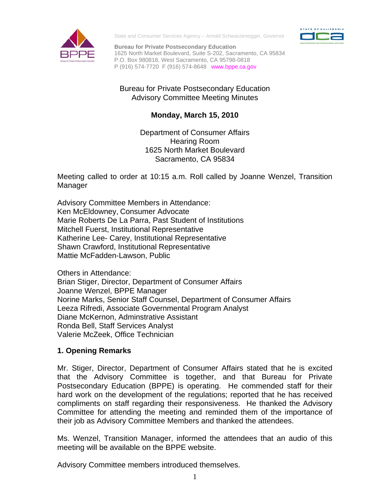

State and Consumer Services Agency – Arnold Schwarzenegger, Governor



**Bureau for Private Postsecondary Education**  1625 North Market Boulevard, Suite S-202, Sacramento, CA 95834 P.O. Box 980818, West Sacramento, CA 95798-0818 P (916) 574-7720 F (916) 574-8648 www.bppe.ca.gov

# Bureau for Private Postsecondary Education Advisory Committee Meeting Minutes

# **Monday, March 15, 2010**

Department of Consumer Affairs Hearing Room 1625 North Market Boulevard Sacramento, CA 95834

Meeting called to order at 10:15 a.m. Roll called by Joanne Wenzel, Transition Manager

Shawn Crawford, Institutional Representative<br>Mattie McFadden-Lawson, Public<br>Others in Attendance: Mattie McFadden-Lawson, Public Advisory Committee Members in Attendance: Ken McEldowney, Consumer Advocate Marie Roberts De La Parra, Past Student of Institutions Mitchell Fuerst, Institutional Representative Katherine Lee- Carey, Institutional Representative

Brian Stiger, Director, Department of Consumer Affairs Joanne Wenzel, BPPE Manager Norine Marks, Senior Staff Counsel, Department of Consumer Affairs Leeza Rifredi, Associate Governmental Program Analyst Diane McKernon, Adminstrative Assistant Ronda Bell, Staff Services Analyst Valerie McZeek, Office Technician

# **1. Opening Remarks**

Mr. Stiger, Director, Department of Consumer Affairs stated that he is excited that the Advisory Committee is together, and that Bureau for Private Postsecondary Education (BPPE) is operating. He commended staff for their hard work on the development of the regulations; reported that he has received compliments on staff regarding their responsiveness. He thanked the Advisory Committee for attending the meeting and reminded them of the importance of their job as Advisory Committee Members and thanked the attendees.

Ms. Wenzel, Transition Manager, informed the attendees that an audio of this meeting will be available on the BPPE website.

Advisory Committee members introduced themselves.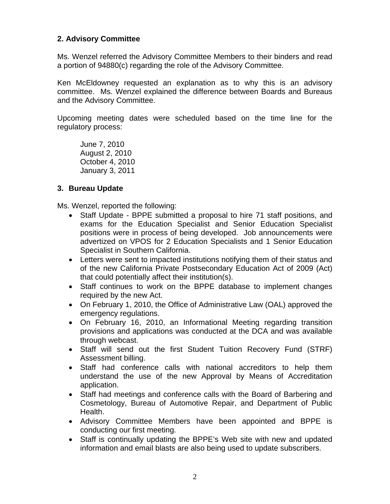## **2. Advisory Committee**

Ms. Wenzel referred the Advisory Committee Members to their binders and read a portion of 94880(c) regarding the role of the Advisory Committee.

Ken McEldowney requested an explanation as to why this is an advisory committee. Ms. Wenzel explained the difference between Boards and Bureaus and the Advisory Committee.

Upcoming meeting dates were scheduled based on the time line for the regulatory process:

June 7, 2010 August 2, 2010 October 4, 2010 January 3, 2011

## **3. Bureau Update**

Ms. Wenzel, reported the following:

- Staff Update BPPE submitted a proposal to hire 71 staff positions, and exams for the Education Specialist and Senior Education Specialist positions were in process of being developed. Job announcements were advertized on VPOS for 2 Education Specialists and 1 Senior Education Specialist in Southern California.
- Letters were sent to impacted institutions notifying them of their status and of the new California Private Postsecondary Education Act of 2009 (Act) that could potentially affect their institution(s).
- Staff continues to work on the BPPE database to implement changes required by the new Act.
- On February 1, 2010, the Office of Administrative Law (OAL) approved the emergency regulations.
- On February 16, 2010, an Informational Meeting regarding transition provisions and applications was conducted at the DCA and was available through webcast.
- Staff will send out the first Student Tuition Recovery Fund (STRF) Assessment billing.
- Staff had conference calls with national accreditors to help them understand the use of the new Approval by Means of Accreditation application.
- Staff had meetings and conference calls with the Board of Barbering and Cosmetology, Bureau of Automotive Repair, and Department of Public Health.
- Advisory Committee Members have been appointed and BPPE is conducting our first meeting.
- Staff is continually updating the BPPE's Web site with new and updated information and email blasts are also being used to update subscribers.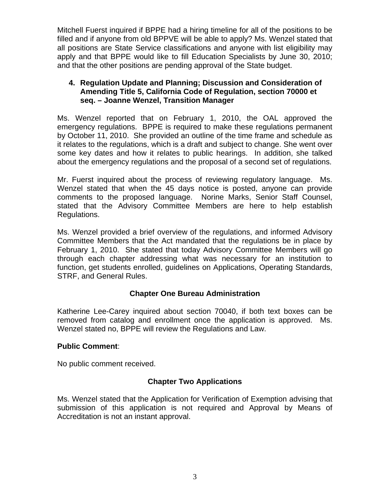Mitchell Fuerst inquired if BPPE had a hiring timeline for all of the positions to be filled and if anyone from old BPPVE will be able to apply? Ms. Wenzel stated that all positions are State Service classifications and anyone with list eligibility may apply and that BPPE would like to fill Education Specialists by June 30, 2010; and that the other positions are pending approval of the State budget.

## **4. Regulation Update and Planning; Discussion and Consideration of Amending Title 5, California Code of Regulation, section 70000 et seq. – Joanne Wenzel, Transition Manager**

Ms. Wenzel reported that on February 1, 2010, the OAL approved the emergency regulations. BPPE is required to make these regulations permanent by October 11, 2010. She provided an outline of the time frame and schedule as it relates to the regulations, which is a draft and subject to change. She went over some key dates and how it relates to public hearings. In addition, she talked about the emergency regulations and the proposal of a second set of regulations.

Mr. Fuerst inquired about the process of reviewing regulatory language. Ms. Wenzel stated that when the 45 days notice is posted, anyone can provide comments to the proposed language. Norine Marks, Senior Staff Counsel, stated that the Advisory Committee Members are here to help establish Regulations.

Ms. Wenzel provided a brief overview of the regulations, and informed Advisory Committee Members that the Act mandated that the regulations be in place by February 1, 2010. She stated that today Advisory Committee Members will go through each chapter addressing what was necessary for an institution to function, get students enrolled, guidelines on Applications, Operating Standards, STRF, and General Rules.

# **Chapter One Bureau Administration**

Katherine Lee-Carey inquired about section 70040, if both text boxes can be removed from catalog and enrollment once the application is approved. Ms. Wenzel stated no, BPPE will review the Regulations and Law.

### **Public Comment**:

No public comment received.

# **Chapter Two Applications**

Ms. Wenzel stated that the Application for Verification of Exemption advising that submission of this application is not required and Approval by Means of Accreditation is not an instant approval.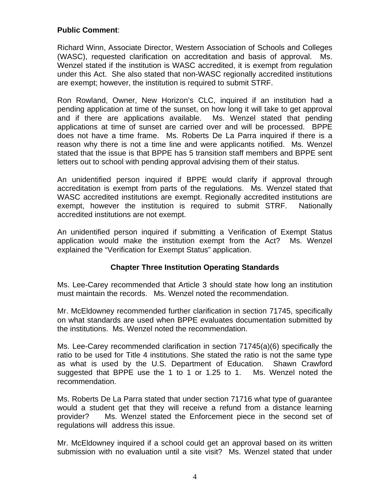# **Public Comment**:

Richard Winn, Associate Director, Western Association of Schools and Colleges (WASC), requested clarification on accreditation and basis of approval. Ms. Wenzel stated if the institution is WASC accredited, it is exempt from regulation under this Act. She also stated that non-WASC regionally accredited institutions are exempt; however, the institution is required to submit STRF.

Ron Rowland, Owner, New Horizon's CLC, inquired if an institution had a pending application at time of the sunset, on how long it will take to get approval and if there are applications available. Ms. Wenzel stated that pending applications at time of sunset are carried over and will be processed. BPPE does not have a time frame. Ms. Roberts De La Parra inquired if there is a reason why there is not a time line and were applicants notified. Ms. Wenzel stated that the issue is that BPPE has 5 transition staff members and BPPE sent letters out to school with pending approval advising them of their status.

An unidentified person inquired if BPPE would clarify if approval through accreditation is exempt from parts of the regulations. Ms. Wenzel stated that WASC accredited institutions are exempt. Regionally accredited institutions are exempt, however the institution is required to submit STRF. Nationally accredited institutions are not exempt.

An unidentified person inquired if submitting a Verification of Exempt Status application would make the institution exempt from the Act? Ms. Wenzel explained the "Verification for Exempt Status" application.

# **Chapter Three Institution Operating Standards**

Ms. Lee-Carey recommended that Article 3 should state how long an institution must maintain the records. Ms. Wenzel noted the recommendation.

Mr. McEldowney recommended further clarification in section 71745, specifically on what standards are used when BPPE evaluates documentation submitted by the institutions. Ms. Wenzel noted the recommendation.

Ms. Lee-Carey recommended clarification in section 71745(a)(6) specifically the ratio to be used for Title 4 institutions. She stated the ratio is not the same type as what is used by the U.S. Department of Education. Shawn Crawford suggested that BPPE use the 1 to 1 or 1.25 to 1. Ms. Wenzel noted the recommendation.

Ms. Roberts De La Parra stated that under section 71716 what type of guarantee would a student get that they will receive a refund from a distance learning provider? Ms. Wenzel stated the Enforcement piece in the second set of regulations will address this issue.

Mr. McEldowney inquired if a school could get an approval based on its written submission with no evaluation until a site visit? Ms. Wenzel stated that under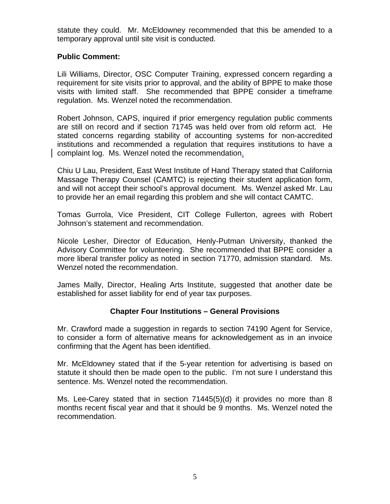statute they could. Mr. McEldowney recommended that this be amended to a temporary approval until site visit is conducted.

## **Public Comment:**

Lili Williams, Director, OSC Computer Training, expressed concern regarding a requirement for site visits prior to approval, and the ability of BPPE to make those visits with limited staff. She recommended that BPPE consider a timeframe regulation. Ms. Wenzel noted the recommendation.

Robert Johnson, CAPS, inquired if prior emergency regulation public comments are still on record and if section 71745 was held over from old reform act. He stated concerns regarding stability of accounting systems for non-accredited institutions and recommended a regulation that requires institutions to have a complaint log. Ms. Wenzel noted the recommendation.

Chiu U Lau, President, East West Institute of Hand Therapy stated that California Massage Therapy Counsel (CAMTC) is rejecting their student application form, and will not accept their school's approval document. Ms. Wenzel asked Mr. Lau to provide her an email regarding this problem and she will contact CAMTC.

Johnson's statement and recommendation. Tomas Gurrola, Vice President, CIT College Fullerton, agrees with Robert

Nicole Lesher, Director of Education, Henly-Putman University, thanked the Advisory Committee for volunteering. She recommended that BPPE consider a more liberal transfer policy as noted in section 71770, admission standard. Ms. Wenzel noted the recommendation.

James Mally, Director, Healing Arts Institute, suggested that another date be established for asset liability for end of year tax purposes.

### **Chapter Four Institutions – General Provisions**

Mr. Crawford made a suggestion in regards to section 74190 Agent for Service, to consider a form of alternative means for acknowledgement as in an invoice confirming that the Agent has been identified.

Mr. McEldowney stated that if the 5-year retention for advertising is based on statute it should then be made open to the public. I'm not sure I understand this sentence. Ms. Wenzel noted the recommendation.

Ms. Lee-Carey stated that in section 71445(5)(d) it provides no more than 8 months recent fiscal year and that it should be 9 months. Ms. Wenzel noted the recommendation.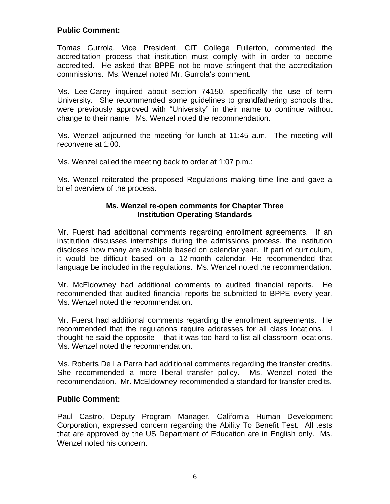# **Public Comment:**

Tomas Gurrola, Vice President, CIT College Fullerton, commented the accreditation process that institution must comply with in order to become accredited. He asked that BPPE not be move stringent that the accreditation commissions. Ms. Wenzel noted Mr. Gurrola's comment.

Ms. Lee-Carey inquired about section 74150, specifically the use of term University. She recommended some guidelines to grandfathering schools that were previously approved with "University" in their name to continue without change to their name. Ms. Wenzel noted the recommendation.

Ms. Wenzel adjourned the meeting for lunch at 11:45 a.m. The meeting will reconvene at 1:00.

Ms. Wenzel called the meeting back to order at 1:07 p.m.:

Ms. Wenzel reiterated the proposed Regulations making time line and gave a brief overview of the process.

#### **Ms. Wenzel re-open comments for Chapter Three Institution Operating Standards**

Mr. Fuerst had additional comments regarding enrollment agreements. If an institution discusses internships during the admissions process, the institution discloses how many are available based on calendar year. If part of curriculum, it would be difficult based on a 12-month calendar. He recommended that language be included in the regulations. Ms. Wenzel noted the recommendation.

Mr. McEldowney had additional comments to audited financial reports. He recommended that audited financial reports be submitted to BPPE every year. Ms. Wenzel noted the recommendation.

Mr. Fuerst had additional comments regarding the enrollment agreements. He recommended that the regulations require addresses for all class locations. I thought he said the opposite – that it was too hard to list all classroom locations. Ms. Wenzel noted the recommendation.

Ms. Roberts De La Parra had additional comments regarding the transfer credits.<br>She recommended a more liberal transfer policy. Ms. Wenzel noted the recommendation. Mr. McEldowney recommended a standard for transfer credits.

### **Public Comment:**

Paul Castro, Deputy Program Manager, California Human Development Corporation, expressed concern regarding the Ability To Benefit Test. All tests that are approved by the US Department of Education are in English only. Ms. Wenzel noted his concern.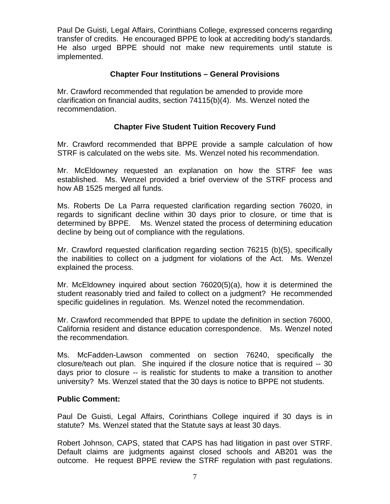transfer of credits. He encouraged BPPE to look at accrediting body's standards. Paul De Guisti, Legal Affairs, Corinthians College, expressed concerns regarding He also urged BPPE should not make new requirements until statute is implemented.

## **Chapter Four Institutions – General Provisions**

Mr. Crawford recommended that regulation be amended to provide more clarification on financial audits, section 74115(b)(4). Ms. Wenzel noted the recommendation.

## **Chapter Five Student Tuition Recovery Fund**

Mr. Crawford recommended that BPPE provide a sample calculation of how STRF is calculated on the webs site. Ms. Wenzel noted his recommendation.

Mr. McEldowney requested an explanation on how the STRF fee was established. Ms. Wenzel provided a brief overview of the STRF process and how AB 1525 merged all funds.

 determined by BPPE. Ms. Wenzel stated the process of determining education Ms. Roberts De La Parra requested clarification regarding section 76020, in regards to significant decline within 30 days prior to closure, or time that is decline by being out of compliance with the regulations.

Mr. Crawford requested clarification regarding section 76215 (b)(5), specifically the inabilities to collect on a judgment for violations of the Act. Ms. Wenzel explained the process.

Mr. McEldowney inquired about section 76020(5)(a), how it is determined the student reasonably tried and failed to collect on a judgment? He recommended specific guidelines in regulation. Ms. Wenzel noted the recommendation.

Mr. Crawford recommended that BPPE to update the definition in section 76000, California resident and distance education correspondence. Ms. Wenzel noted the recommendation.

Ms. McFadden-Lawson commented on section 76240, specifically the closure/teach out plan. She inquired if the closure notice that is required -- 30 days prior to closure -- is realistic for students to make a transition to another university? Ms. Wenzel stated that the 30 days is notice to BPPE not students.

### **Public Comment:**

Paul De Guisti, Legal Affairs, Corinthians College inquired if 30 days is in statute? Ms. Wenzel stated that the Statute says at least 30 days.

Robert Johnson, CAPS, stated that CAPS has had litigation in past over STRF. Default claims are judgments against closed schools and AB201 was the outcome. He request BPPE review the STRF regulation with past regulations.